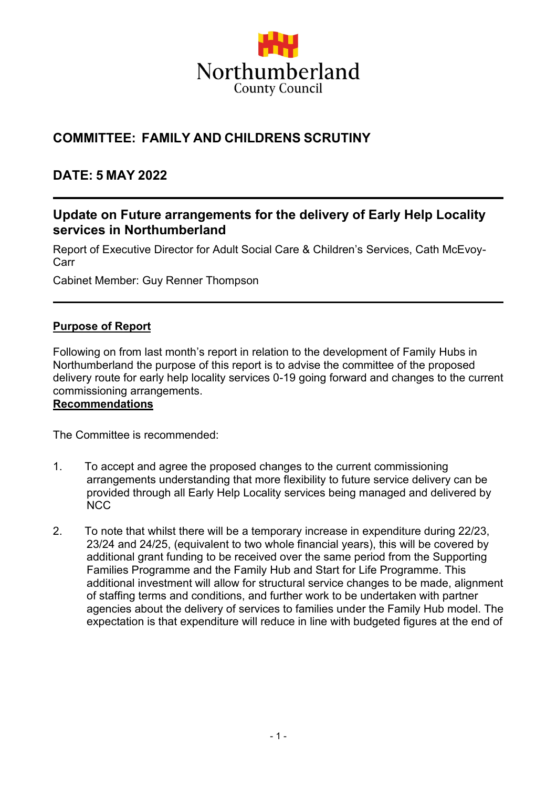

# **COMMITTEE: FAMILY AND CHILDRENS SCRUTINY**

## **DATE: 5 MAY 2022**

### **Update on Future arrangements for the delivery of Early Help Locality services in Northumberland**

Report of Executive Director for Adult Social Care & Children's Services, Cath McEvoy-Carr

Cabinet Member: Guy Renner Thompson

#### **Purpose of Report**

Following on from last month's report in relation to the development of Family Hubs in Northumberland the purpose of this report is to advise the committee of the proposed delivery route for early help locality services 0-19 going forward and changes to the current commissioning arrangements.

#### **Recommendations**

The Committee is recommended:

- 1. To accept and agree the proposed changes to the current commissioning arrangements understanding that more flexibility to future service delivery can be provided through all Early Help Locality services being managed and delivered by NCC
- 2. To note that whilst there will be a temporary increase in expenditure during 22/23, 23/24 and 24/25, (equivalent to two whole financial years), this will be covered by additional grant funding to be received over the same period from the Supporting Families Programme and the Family Hub and Start for Life Programme. This additional investment will allow for structural service changes to be made, alignment of staffing terms and conditions, and further work to be undertaken with partner agencies about the delivery of services to families under the Family Hub model. The expectation is that expenditure will reduce in line with budgeted figures at the end of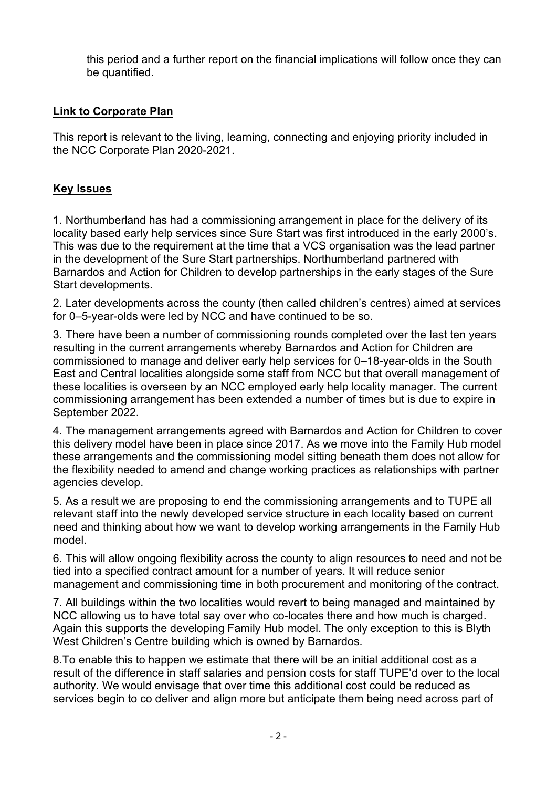this period and a further report on the financial implications will follow once they can be quantified.

#### **Link to Corporate Plan**

This report is relevant to the living, learning, connecting and enjoying priority included in the NCC Corporate Plan 2020-2021.

#### **Key Issues**

1. Northumberland has had a commissioning arrangement in place for the delivery of its locality based early help services since Sure Start was first introduced in the early 2000's. This was due to the requirement at the time that a VCS organisation was the lead partner in the development of the Sure Start partnerships. Northumberland partnered with Barnardos and Action for Children to develop partnerships in the early stages of the Sure Start developments.

2. Later developments across the county (then called children's centres) aimed at services for 0–5-year-olds were led by NCC and have continued to be so.

3. There have been a number of commissioning rounds completed over the last ten years resulting in the current arrangements whereby Barnardos and Action for Children are commissioned to manage and deliver early help services for 0–18-year-olds in the South East and Central localities alongside some staff from NCC but that overall management of these localities is overseen by an NCC employed early help locality manager. The current commissioning arrangement has been extended a number of times but is due to expire in September 2022.

4. The management arrangements agreed with Barnardos and Action for Children to cover this delivery model have been in place since 2017. As we move into the Family Hub model these arrangements and the commissioning model sitting beneath them does not allow for the flexibility needed to amend and change working practices as relationships with partner agencies develop.

5. As a result we are proposing to end the commissioning arrangements and to TUPE all relevant staff into the newly developed service structure in each locality based on current need and thinking about how we want to develop working arrangements in the Family Hub model.

6. This will allow ongoing flexibility across the county to align resources to need and not be tied into a specified contract amount for a number of years. It will reduce senior management and commissioning time in both procurement and monitoring of the contract.

7. All buildings within the two localities would revert to being managed and maintained by NCC allowing us to have total say over who co-locates there and how much is charged. Again this supports the developing Family Hub model. The only exception to this is Blyth West Children's Centre building which is owned by Barnardos.

8.To enable this to happen we estimate that there will be an initial additional cost as a result of the difference in staff salaries and pension costs for staff TUPE'd over to the local authority. We would envisage that over time this additional cost could be reduced as services begin to co deliver and align more but anticipate them being need across part of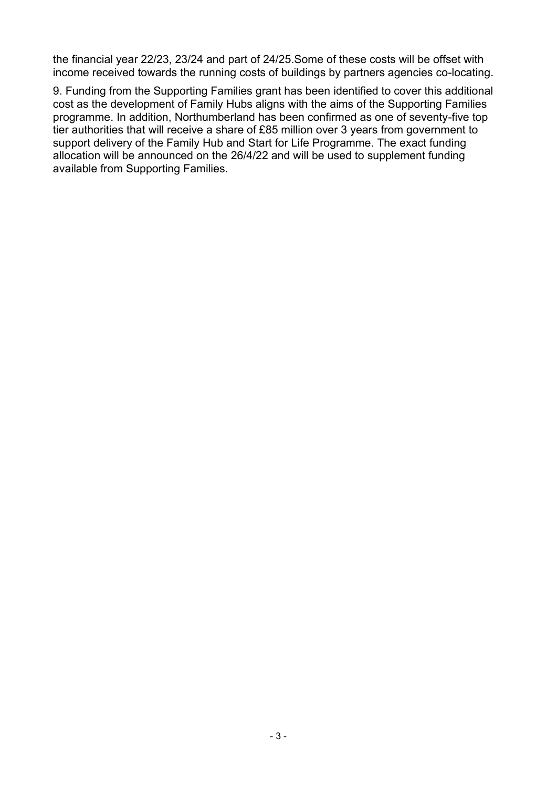the financial year 22/23, 23/24 and part of 24/25.Some of these costs will be offset with income received towards the running costs of buildings by partners agencies co-locating.

9. Funding from the Supporting Families grant has been identified to cover this additional cost as the development of Family Hubs aligns with the aims of the Supporting Families programme. In addition, Northumberland has been confirmed as one of seventy-five top tier authorities that will receive a share of £85 million over 3 years from government to support delivery of the Family Hub and Start for Life Programme. The exact funding allocation will be announced on the 26/4/22 and will be used to supplement funding available from Supporting Families.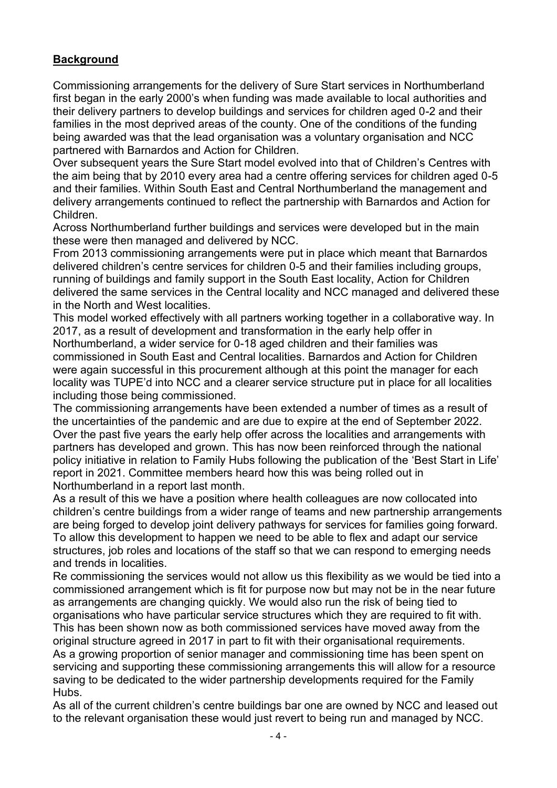### **Background**

Commissioning arrangements for the delivery of Sure Start services in Northumberland first began in the early 2000's when funding was made available to local authorities and their delivery partners to develop buildings and services for children aged 0-2 and their families in the most deprived areas of the county. One of the conditions of the funding being awarded was that the lead organisation was a voluntary organisation and NCC partnered with Barnardos and Action for Children.

Over subsequent years the Sure Start model evolved into that of Children's Centres with the aim being that by 2010 every area had a centre offering services for children aged 0-5 and their families. Within South East and Central Northumberland the management and delivery arrangements continued to reflect the partnership with Barnardos and Action for Children.

Across Northumberland further buildings and services were developed but in the main these were then managed and delivered by NCC.

From 2013 commissioning arrangements were put in place which meant that Barnardos delivered children's centre services for children 0-5 and their families including groups, running of buildings and family support in the South East locality, Action for Children delivered the same services in the Central locality and NCC managed and delivered these in the North and West localities.

This model worked effectively with all partners working together in a collaborative way. In 2017, as a result of development and transformation in the early help offer in Northumberland, a wider service for 0-18 aged children and their families was commissioned in South East and Central localities. Barnardos and Action for Children were again successful in this procurement although at this point the manager for each locality was TUPE'd into NCC and a clearer service structure put in place for all localities including those being commissioned.

The commissioning arrangements have been extended a number of times as a result of the uncertainties of the pandemic and are due to expire at the end of September 2022. Over the past five years the early help offer across the localities and arrangements with partners has developed and grown. This has now been reinforced through the national policy initiative in relation to Family Hubs following the publication of the 'Best Start in Life' report in 2021. Committee members heard how this was being rolled out in Northumberland in a report last month.

As a result of this we have a position where health colleagues are now collocated into children's centre buildings from a wider range of teams and new partnership arrangements are being forged to develop joint delivery pathways for services for families going forward. To allow this development to happen we need to be able to flex and adapt our service structures, job roles and locations of the staff so that we can respond to emerging needs and trends in localities.

Re commissioning the services would not allow us this flexibility as we would be tied into a commissioned arrangement which is fit for purpose now but may not be in the near future as arrangements are changing quickly. We would also run the risk of being tied to organisations who have particular service structures which they are required to fit with. This has been shown now as both commissioned services have moved away from the

original structure agreed in 2017 in part to fit with their organisational requirements. As a growing proportion of senior manager and commissioning time has been spent on servicing and supporting these commissioning arrangements this will allow for a resource saving to be dedicated to the wider partnership developments required for the Family Hubs.

As all of the current children's centre buildings bar one are owned by NCC and leased out to the relevant organisation these would just revert to being run and managed by NCC.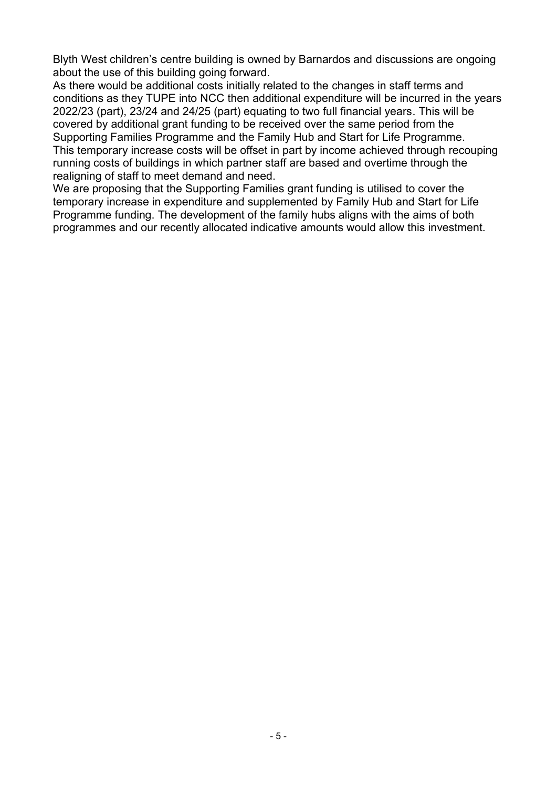Blyth West children's centre building is owned by Barnardos and discussions are ongoing about the use of this building going forward.

As there would be additional costs initially related to the changes in staff terms and conditions as they TUPE into NCC then additional expenditure will be incurred in the years 2022/23 (part), 23/24 and 24/25 (part) equating to two full financial years. This will be covered by additional grant funding to be received over the same period from the Supporting Families Programme and the Family Hub and Start for Life Programme. This temporary increase costs will be offset in part by income achieved through recouping running costs of buildings in which partner staff are based and overtime through the realigning of staff to meet demand and need.

We are proposing that the Supporting Families grant funding is utilised to cover the temporary increase in expenditure and supplemented by Family Hub and Start for Life Programme funding. The development of the family hubs aligns with the aims of both programmes and our recently allocated indicative amounts would allow this investment.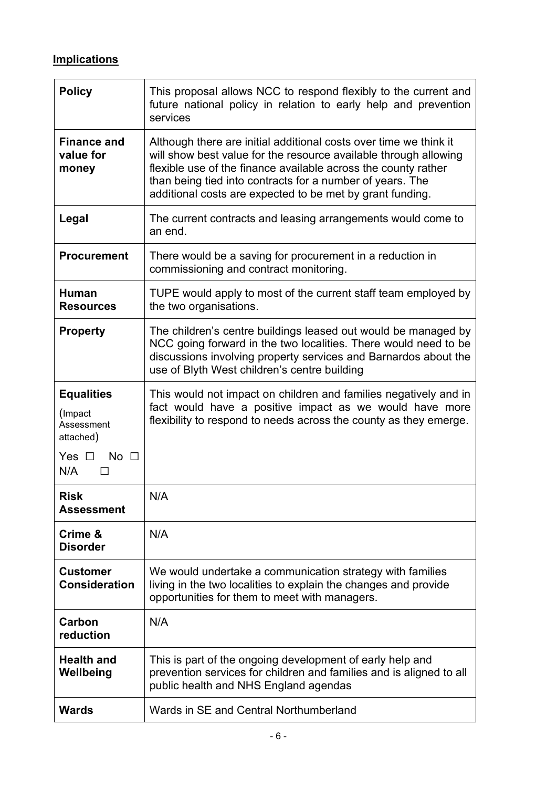# **Implications**

| <b>Policy</b>                                                                                        | This proposal allows NCC to respond flexibly to the current and<br>future national policy in relation to early help and prevention<br>services                                                                                                                                                                                    |
|------------------------------------------------------------------------------------------------------|-----------------------------------------------------------------------------------------------------------------------------------------------------------------------------------------------------------------------------------------------------------------------------------------------------------------------------------|
| <b>Finance and</b><br>value for<br>money                                                             | Although there are initial additional costs over time we think it<br>will show best value for the resource available through allowing<br>flexible use of the finance available across the county rather<br>than being tied into contracts for a number of years. The<br>additional costs are expected to be met by grant funding. |
| Legal                                                                                                | The current contracts and leasing arrangements would come to<br>an end.                                                                                                                                                                                                                                                           |
| <b>Procurement</b>                                                                                   | There would be a saving for procurement in a reduction in<br>commissioning and contract monitoring.                                                                                                                                                                                                                               |
| <b>Human</b><br><b>Resources</b>                                                                     | TUPE would apply to most of the current staff team employed by<br>the two organisations.                                                                                                                                                                                                                                          |
| <b>Property</b>                                                                                      | The children's centre buildings leased out would be managed by<br>NCC going forward in the two localities. There would need to be<br>discussions involving property services and Barnardos about the<br>use of Blyth West children's centre building                                                                              |
| <b>Equalities</b><br>(Impact<br>Assessment<br>attached)<br>Yes $\Box$<br>No <sub>1</sub><br>N/A<br>П | This would not impact on children and families negatively and in<br>fact would have a positive impact as we would have more<br>flexibility to respond to needs across the county as they emerge.                                                                                                                                  |
| <b>Risk</b><br>Assessment                                                                            | N/A                                                                                                                                                                                                                                                                                                                               |
| Crime &<br><b>Disorder</b>                                                                           | N/A                                                                                                                                                                                                                                                                                                                               |
| <b>Customer</b><br><b>Consideration</b>                                                              | We would undertake a communication strategy with families<br>living in the two localities to explain the changes and provide<br>opportunities for them to meet with managers.                                                                                                                                                     |
| Carbon<br>reduction                                                                                  | N/A                                                                                                                                                                                                                                                                                                                               |
| <b>Health and</b><br>Wellbeing                                                                       | This is part of the ongoing development of early help and<br>prevention services for children and families and is aligned to all<br>public health and NHS England agendas                                                                                                                                                         |
| <b>Wards</b>                                                                                         | Wards in SE and Central Northumberland                                                                                                                                                                                                                                                                                            |